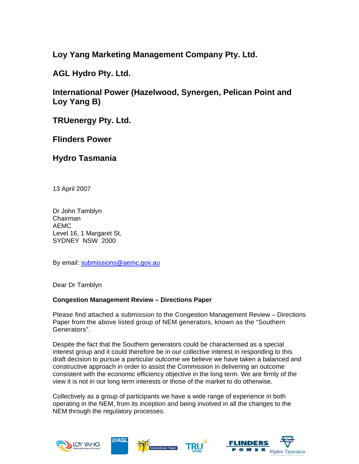**Loy Yang Marketing Management Company Pty. Ltd.** 

**AGL Hydro Pty. Ltd.** 

**International Power (Hazelwood, Synergen, Pelican Point and Loy Yang B)** 

**TRUenergy Pty. Ltd.** 

**Flinders Power** 

**Hydro Tasmania** 

13 April 2007

Dr John Tamblyn Chairman AEMC Level 16, 1 Margaret St, SYDNEY NSW 2000

By email: submissions@aemc.gov.au

Dear Dr Tamblyn

# **Congestion Management Review – Directions Paper**

Please find attached a submission to the Congestion Management Review – Directions Paper from the above listed group of NEM generators, known as the "Southern Generators".

Despite the fact that the Southern generators could be characterised as a special interest group and it could therefore be in our collective interest in responding to this draft decision to pursue a particular outcome we believe we have taken a balanced and constructive approach in order to assist the Commission in delivering an outcome consistent with the economic efficiency objective in the long term. We are firmly of the view it is not in our long term interests or those of the market to do otherwise.

Collectively as a group of participants we have a wide range of experience in both operating in the NEM, from its inception and being involved in all the changes to the NEM through the regulatory processes.





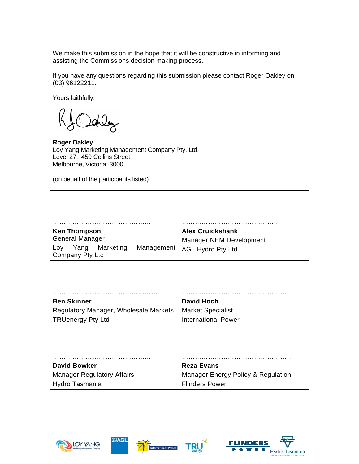We make this submission in the hope that it will be constructive in informing and assisting the Commissions decision making process.

If you have any questions regarding this submission please contact Roger Oakley on (03) 96122211.

Yours faithfully,

 $\left( \!\!{\,}^{\mathop{}\limits_{}}_{\mathop{}\limits^{}}\right\rangle \!\!$ Dahley

**Roger Oakley** Loy Yang Marketing Management Company Pty. Ltd. Level 27, 459 Collins Street, Melbourne, Victoria 3000

(on behalf of the participants listed)

| <b>Ken Thompson</b><br><b>General Manager</b><br>Yang Marketing<br>Loy<br>Management<br>Company Pty Ltd | <b>Alex Cruickshank</b><br>Manager NEM Development<br><b>AGL Hydro Pty Ltd</b> |  |
|---------------------------------------------------------------------------------------------------------|--------------------------------------------------------------------------------|--|
| <b>Ben Skinner</b>                                                                                      | <b>David Hoch</b>                                                              |  |
| Regulatory Manager, Wholesale Markets                                                                   | <b>Market Specialist</b>                                                       |  |
| <b>TRUenergy Pty Ltd</b>                                                                                | <b>International Power</b>                                                     |  |
| <b>David Bowker</b>                                                                                     | <b>Reza Evans</b>                                                              |  |
| <b>Manager Regulatory Affairs</b>                                                                       | Manager Energy Policy & Regulation                                             |  |
| Hydro Tasmania                                                                                          | <b>Flinders Power</b>                                                          |  |







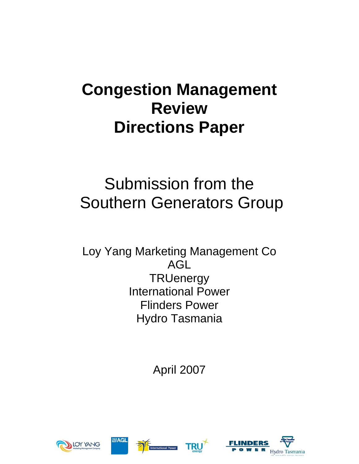# **Congestion Management Review Directions Paper**

# Submission from the Southern Generators Group

Loy Yang Marketing Management Co AGL **TRUenergy** International Power Flinders Power Hydro Tasmania

April 2007







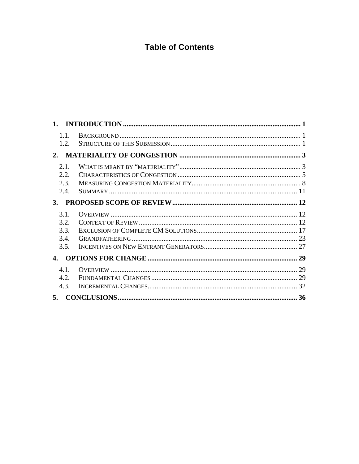# **Table of Contents**

| 1.1.<br>1.2. |  |
|--------------|--|
|              |  |
| 2.1.         |  |
| 2.2.         |  |
| 2.3.         |  |
| 2.4.         |  |
|              |  |
| 3.1.         |  |
| 3.2.         |  |
| 3.3.         |  |
| 3.4.         |  |
| 3.5.         |  |
| 4.           |  |
| 4.1.         |  |
| 4.2.         |  |
| 4.3.         |  |
|              |  |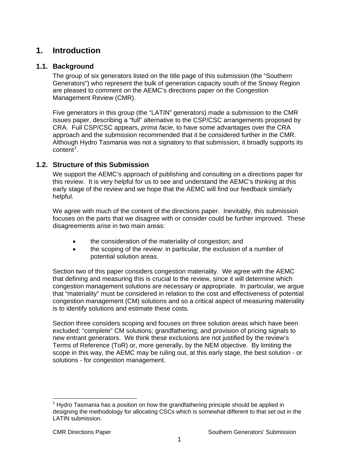# <span id="page-4-0"></span>**1. Introduction**

# **1.1. Background**

The group of six generators listed on the title page of this submission (the "Southern Generators") who represent the bulk of generation capacity south of the Snowy Region are pleased to comment on the AEMC's directions paper on the Congestion Management Review (CMR).

Five generators in this group (the "LATIN" generators) made a submission to the CMR issues paper, describing a "full" alternative to the CSP/CSC arrangements proposed by CRA. Full CSP/CSC appears, *prima facie*, to have some advantages over the CRA approach and the submission recommended that it be considered further in the CMR. Although Hydro Tasmania was not a signatory to that submission, it broadly supports its  $\cot \tilde{t}^1$  $\cot \tilde{t}^1$ .

# **1.2. Structure of this Submission**

We support the AEMC's approach of publishing and consulting on a directions paper for this review. It is very helpful for us to see and understand the AEMC's thinking at this early stage of the review and we hope that the AEMC will find our feedback similarly helpful.

We agree with much of the content of the directions paper. Inevitably, this submission focuses on the parts that we disagree with or consider could be further improved. These disagreements arise in two main areas:

- the consideration of the materiality of congestion; and
- the scoping of the review: in particular, the exclusion of a number of potential solution areas.

Section two of this paper considers congestion materiality. We agree with the AEMC that defining and measuring this is crucial to the review, since it will determine which congestion management solutions are necessary or appropriate. In particular, we argue that "materiality" must be considered in relation to the cost and effectiveness of potential congestion management (CM) solutions and so a critical aspect of measuring materiality is to identify solutions and estimate these costs.

Section three considers scoping and focuses on three solution areas which have been excluded: "complete" CM solutions; grandfathering; and provision of pricing signals to new entrant generators. We think these exclusions are not justified by the review's Terms of Reference (ToR) or, more generally, by the NEM objective. By limiting the scope in this way, the AEMC may be ruling out, at this early stage, the best solution - or solutions - for congestion management.

<span id="page-4-1"></span>  $1$  Hydro Tasmania has a position on how the grandfathering principle should be applied in designing the methodology for allocating CSCs which is somewhat different to that set out in the LATIN submission.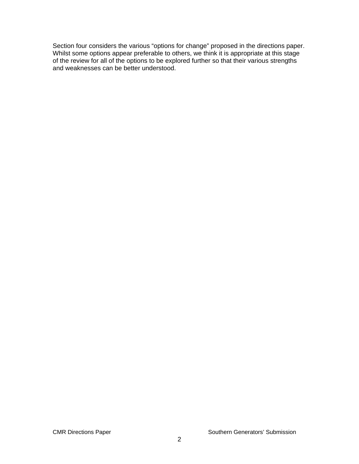Section four considers the various "options for change" proposed in the directions paper. Whilst some options appear preferable to others, we think it is appropriate at this stage of the review for all of the options to be explored further so that their various strengths and weaknesses can be better understood.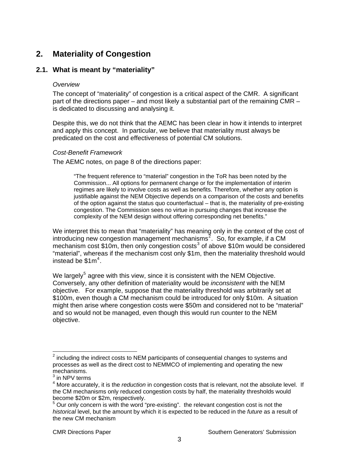# <span id="page-6-0"></span>**2. Materiality of Congestion**

# **2.1. What is meant by "materiality"**

#### *Overview*

The concept of "materiality" of congestion is a critical aspect of the CMR. A significant part of the directions paper – and most likely a substantial part of the remaining CMR – is dedicated to discussing and analysing it.

Despite this, we do not think that the AEMC has been clear in how it intends to interpret and apply this concept. In particular, we believe that materiality must always be predicated on the cost and effectiveness of potential CM solutions.

#### *Cost-Benefit Framework*

The AEMC notes, on page 8 of the directions paper:

"The frequent reference to "material" congestion in the ToR has been noted by the Commission... All options for permanent change or for the implementation of interim regimes are likely to involve costs as well as benefits. Therefore, whether any option is justifiable against the NEM Objective depends on a comparison of the costs and benefits of the option against the status quo counterfactual – that is, the materiality of pre-existing congestion. The Commission sees no virtue in pursuing changes that increase the complexity of the NEM design without offering corresponding net benefits."

We interpret this to mean that "materiality" has meaning only in the context of the cost of introducing new congestion management mechanisms<sup>[2](#page-6-1)</sup>. So, for example, if a CM mechanism cost \$10m, then only congestion costs<sup>[3](#page-6-2)</sup> of above \$10m would be considered "material", whereas if the mechanism cost only \$1m, then the materiality threshold would instead be  $$1m<sup>4</sup>$  $$1m<sup>4</sup>$  $$1m<sup>4</sup>$ .

We largely<sup>[5](#page-6-4)</sup> agree with this view, since it is consistent with the NEM Objective. Conversely, any other definition of materiality would be *inconsistent* with the NEM objective. For example, suppose that the materiality threshold was arbitrarily set at \$100m, even though a CM mechanism could be introduced for only \$10m. A situation might then arise where congestion costs were \$50m and considered not to be "material" and so would not be managed, even though this would run counter to the NEM objective.

<span id="page-6-1"></span>  $2$  including the indirect costs to NEM participants of consequential changes to systems and processes as well as the direct cost to NEMMCO of implementing and operating the new mechanisms.

<sup>3</sup> in NPV terms

<span id="page-6-3"></span><span id="page-6-2"></span><sup>4</sup> More accurately, it is the *reduction* in congestion costs that is relevant, not the absolute level. If the CM mechanisms only reduced congestion costs by half, the materiality thresholds would become \$20m or \$2m, respectively.

<span id="page-6-4"></span> $5$  Our only concern is with the word "pre-existing". the relevant congestion cost is not the *historical* level, but the amount by which it is expected to be reduced in the *future* as a result of the new CM mechanism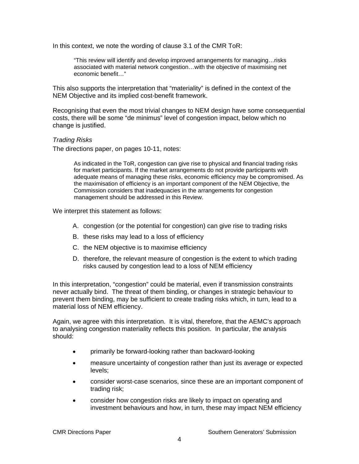In this context, we note the wording of clause 3.1 of the CMR ToR:

"This review will identify and develop improved arrangements for managing…risks associated with material network congestion…with the objective of maximising net economic benefit…"

This also supports the interpretation that "materiality" is defined in the context of the NEM Objective and its implied cost-benefit framework.

Recognising that even the most trivial changes to NEM design have some consequential costs, there will be some "de minimus" level of congestion impact, below which no change is justified.

#### *Trading Risks*

The directions paper, on pages 10-11, notes:

As indicated in the ToR, congestion can give rise to physical and financial trading risks for market participants. If the market arrangements do not provide participants with adequate means of managing these risks, economic efficiency may be compromised. As the maximisation of efficiency is an important component of the NEM Objective, the Commission considers that inadequacies in the arrangements for congestion management should be addressed in this Review.

We interpret this statement as follows:

- A. congestion (or the potential for congestion) can give rise to trading risks
- B. these risks may lead to a loss of efficiency
- C. the NEM objective is to maximise efficiency
- D. therefore, the relevant measure of congestion is the extent to which trading risks caused by congestion lead to a loss of NEM efficiency

In this interpretation, "congestion" could be material, even if transmission constraints never actually bind. The threat of them binding, or changes in strategic behaviour to prevent them binding, may be sufficient to create trading risks which, in turn, lead to a material loss of NEM efficiency.

Again, we agree with this interpretation. It is vital, therefore, that the AEMC's approach to analysing congestion materiality reflects this position. In particular, the analysis should:

- primarily be forward-looking rather than backward-looking
- measure uncertainty of congestion rather than just its average or expected levels;
- consider worst-case scenarios, since these are an important component of trading risk;
- consider how congestion risks are likely to impact on operating and investment behaviours and how, in turn, these may impact NEM efficiency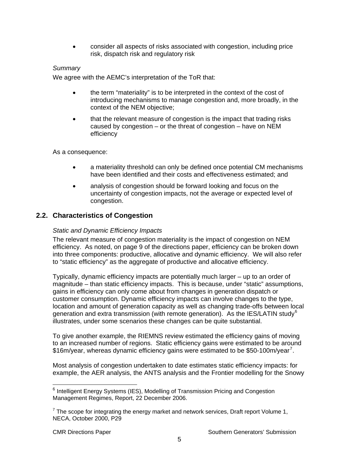• consider all aspects of risks associated with congestion, including price risk, dispatch risk and regulatory risk

## <span id="page-8-0"></span>*Summary*

We agree with the AEMC's interpretation of the ToR that:

- the term "materiality" is to be interpreted in the context of the cost of introducing mechanisms to manage congestion and, more broadly, in the context of the NEM objective;
- that the relevant measure of congestion is the impact that trading risks caused by congestion – or the threat of congestion – have on NEM efficiency

As a consequence:

- a materiality threshold can only be defined once potential CM mechanisms have been identified and their costs and effectiveness estimated; and
- analysis of congestion should be forward looking and focus on the uncertainty of congestion impacts, not the average or expected level of congestion.

# **2.2. Characteristics of Congestion**

#### *Static and Dynamic Efficiency Impacts*

The relevant measure of congestion materiality is the impact of congestion on NEM efficiency. As noted, on page 9 of the directions paper, efficiency can be broken down into three components: productive, allocative and dynamic efficiency. We will also refer to "static efficiency" as the aggregate of productive and allocative efficiency.

Typically, dynamic efficiency impacts are potentially much larger – up to an order of magnitude – than static efficiency impacts. This is because, under "static" assumptions, gains in efficiency can only come about from changes in generation dispatch or customer consumption. Dynamic efficiency impacts can involve changes to the type, location and amount of generation capacity as well as changing trade-offs between local generation and extra transmission (with remote generation). As the IES/LATIN study<sup>[6](#page-8-1)</sup> illustrates, under some scenarios these changes can be quite substantial.

To give another example, the RIEMNS review estimated the efficiency gains of moving to an increased number of regions. Static efficiency gains were estimated to be around \$16m/year, whereas dynamic efficiency gains were estimated to be \$50-100m/year<sup>[7](#page-8-2)</sup>.

Most analysis of congestion undertaken to date estimates static efficiency impacts: for example, the AER analysis, the ANTS analysis and the Frontier modelling for the Snowy

-

<span id="page-8-1"></span><sup>&</sup>lt;sup>6</sup> Intelligent Energy Systems (IES), Modelling of Transmission Pricing and Congestion Management Regimes, Report, 22 December 2006.

<span id="page-8-2"></span> $7$  The scope for integrating the energy market and network services, Draft report Volume 1, NECA, October 2000, P29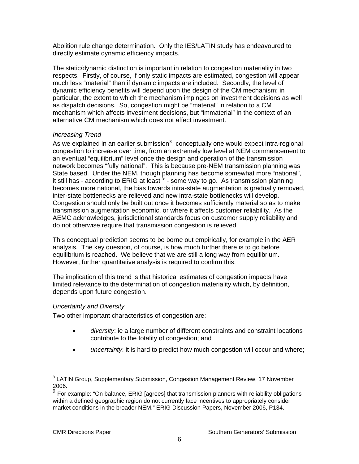Abolition rule change determination. Only the IES/LATIN study has endeavoured to directly estimate dynamic efficiency impacts.

The static/dynamic distinction is important in relation to congestion materiality in two respects. Firstly, of course, if only static impacts are estimated, congestion will appear much less "material" than if dynamic impacts are included. Secondly, the level of dynamic efficiency benefits will depend upon the design of the CM mechanism: in particular, the extent to which the mechanism impinges on investment decisions as well as dispatch decisions. So, congestion might be "material" in relation to a CM mechanism which affects investment decisions, but "immaterial" in the context of an alternative CM mechanism which does not affect investment.

#### *Increasing Trend*

As we explained in an earlier submission $<sup>8</sup>$  $<sup>8</sup>$  $<sup>8</sup>$ , conceptually one would expect intra-regional</sup> congestion to increase over time, from an extremely low level at NEM commencement to an eventual "equilibrium" level once the design and operation of the transmission network becomes "fully national". This is because pre-NEM transmission planning was State based. Under the NEM, though planning has become somewhat more "national", it still has - according to ERIG at least  $9$  - some way to go. As transmission planning becomes more national, the bias towards intra-state augmentation is gradually removed, inter-state bottlenecks are relieved and new intra-state bottlenecks will develop. Congestion should only be built out once it becomes sufficiently material so as to make transmission augmentation economic, or where it affects customer reliability. As the AEMC acknowledges, jurisdictional standards focus on customer supply reliability and do not otherwise require that transmission congestion is relieved.

This conceptual prediction seems to be borne out empirically, for example in the AER analysis. The key question, of course, is how much further there is to go before equilibrium is reached. We believe that we are still a long way from equilibrium. However, further quantitative analysis is required to confirm this.

The implication of this trend is that historical estimates of congestion impacts have limited relevance to the determination of congestion materiality which, by definition, depends upon future congestion.

#### *Uncertainty and Diversity*

Two other important characteristics of congestion are:

- *diversity*: ie a large number of different constraints and constraint locations contribute to the totality of congestion; and
- *uncertainty*: it is hard to predict how much congestion will occur and where;

<span id="page-9-0"></span> 8 LATIN Group, Supplementary Submission, Congestion Management Review, 17 November 2006.

<span id="page-9-1"></span> $9$  For example: "On balance, ERIG [agrees] that transmission planners with reliability obligations within a defined geographic region do not currently face incentives to appropriately consider market conditions in the broader NEM." ERIG Discussion Papers, November 2006, P134.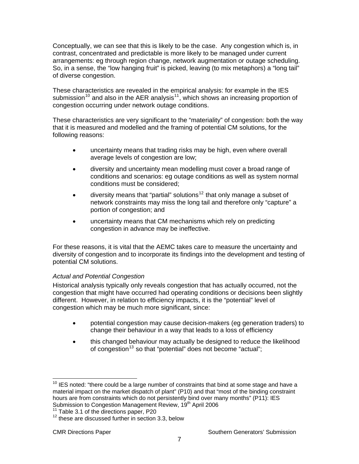Conceptually, we can see that this is likely to be the case. Any congestion which is, in contrast, concentrated and predictable is more likely to be managed under current arrangements: eg through region change, network augmentation or outage scheduling. So, in a sense, the "low hanging fruit" is picked, leaving (to mix metaphors) a "long tail" of diverse congestion.

These characteristics are revealed in the empirical analysis: for example in the IES submission<sup>[10](#page-10-0)</sup> and also in the AER analysis<sup>[11](#page-10-1)</sup>, which shows an increasing proportion of congestion occurring under network outage conditions.

These characteristics are very significant to the "materiality" of congestion: both the way that it is measured and modelled and the framing of potential CM solutions, for the following reasons:

- uncertainty means that trading risks may be high, even where overall average levels of congestion are low;
- diversity and uncertainty mean modelling must cover a broad range of conditions and scenarios: eg outage conditions as well as system normal conditions must be considered;
- diversity means that "partial" solutions<sup>[12](#page-10-2)</sup> that only manage a subset of network constraints may miss the long tail and therefore only "capture" a portion of congestion; and
- uncertainty means that CM mechanisms which rely on predicting congestion in advance may be ineffective.

For these reasons, it is vital that the AEMC takes care to measure the uncertainty and diversity of congestion and to incorporate its findings into the development and testing of potential CM solutions.

#### *Actual and Potential Congestion*

Historical analysis typically only reveals congestion that has actually occurred, not the congestion that might have occurred had operating conditions or decisions been slightly different. However, in relation to efficiency impacts, it is the "potential" level of congestion which may be much more significant, since:

- potential congestion may cause decision-makers (eg generation traders) to change their behaviour in a way that leads to a loss of efficiency
- this changed behaviour may actually be designed to reduce the likelihood of congestion<sup>[13](#page-10-3)</sup> so that "potential" does not become "actual";

<span id="page-10-0"></span>  $10$  IES noted: "there could be a large number of constraints that bind at some stage and have a material impact on the market dispatch of plant" (P10) and that "most of the binding constraint hours are from constraints which do not persistently bind over many months" (P11): IES Submission to Congestion Management Review, 19<sup>th</sup> April 2006<br><sup>11</sup> Table 3.1 of the directions paper, P20<br><sup>12</sup> these are discussed further in section 3.3, below

<span id="page-10-3"></span><span id="page-10-1"></span>

<span id="page-10-2"></span>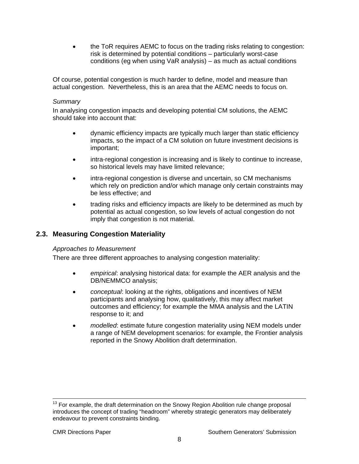<span id="page-11-0"></span>• the ToR requires AEMC to focus on the trading risks relating to congestion: risk is determined by potential conditions – particularly worst-case conditions (eg when using VaR analysis) – as much as actual conditions

Of course, potential congestion is much harder to define, model and measure than actual congestion. Nevertheless, this is an area that the AEMC needs to focus on.

#### *Summary*

In analysing congestion impacts and developing potential CM solutions, the AEMC should take into account that:

- dynamic efficiency impacts are typically much larger than static efficiency impacts, so the impact of a CM solution on future investment decisions is important;
- intra-regional congestion is increasing and is likely to continue to increase, so historical levels may have limited relevance;
- intra-regional congestion is diverse and uncertain, so CM mechanisms which rely on prediction and/or which manage only certain constraints may be less effective; and
- trading risks and efficiency impacts are likely to be determined as much by potential as actual congestion, so low levels of actual congestion do not imply that congestion is not material.

# **2.3. Measuring Congestion Materiality**

#### *Approaches to Measurement*

There are three different approaches to analysing congestion materiality:

- *empirical*: analysing historical data: for example the AER analysis and the DB/NEMMCO analysis;
- *conceptual*: looking at the rights, obligations and incentives of NEM participants and analysing how, qualitatively, this may affect market outcomes and efficiency; for example the MMA analysis and the LATIN response to it; and
- *modelled*: estimate future congestion materiality using NEM models under a range of NEM development scenarios: for example, the Frontier analysis reported in the Snowy Abolition draft determination.

 $13$  For example, the draft determination on the Snowy Region Abolition rule change proposal introduces the concept of trading "headroom" whereby strategic generators may deliberately endeavour to prevent constraints binding.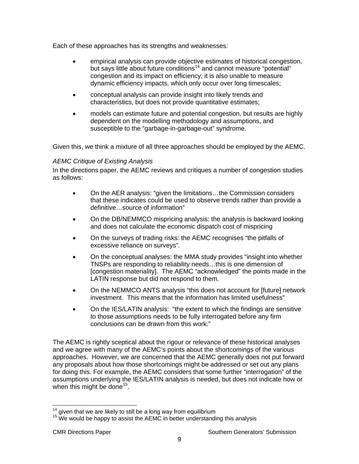Each of these approaches has its strengths and weaknesses:

- empirical analysis can provide objective estimates of historical congestion, but says little about future conditions<sup>[14](#page-12-0)</sup> and cannot measure "potential" congestion and its impact on efficiency; it is also unable to measure dynamic efficiency impacts, which only occur over long timescales;
- conceptual analysis can provide insight into likely trends and characteristics, but does not provide quantitative estimates;
- models can estimate future and potential congestion, but results are highly dependent on the modelling methodology and assumptions, and susceptible to the "garbage-in-garbage-out" syndrome.

Given this, we think a mixture of all three approaches should be employed by the AEMC.

# *AEMC Critique of Existing Analysis*

In the directions paper, the AEMC reviews and critiques a number of congestion studies as follows:

- On the AER analysis: "given the limitations…the Commission considers that these indicates could be used to observe trends rather than provide a definitive…source of information"
- On the DB/NEMMCO mispricing analysis: the analysis is backward looking and does not calculate the economic dispatch cost of mispricing
- On the surveys of trading risks: the AEMC recognises "the pitfalls of excessive reliance on surveys".
- On the conceptual analyses: the MMA study provides "insight into whether TNSPs are responding to reliability needs…this is one dimension of [congestion materiality]. The AEMC "acknowledged" the points made in the LATIN response but did not respond to them.
- On the NEMMCO ANTS analysis "this does not account for [future] network investment. This means that the information has limited usefulness"
- On the IES/LATIN analysis: "the extent to which the findings are sensitive to those assumptions needs to be fully interrogated before any firm conclusions can be drawn from this work."

The AEMC is rightly sceptical about the rigour or relevance of these historical analyses and we agree with many of the AEMC's points about the shortcomings of the various approaches. However, we are concerned that the AEMC generally does not put forward any proposals about how those shortcomings might be addressed or set out any plans for doing this. For example, the AEMC considers that some further "interrogation" of the assumptions underlying the IES/LATIN analysis is needed, but does not indicate how or when this might be done<sup>[15](#page-12-1)</sup>.

<span id="page-12-1"></span><span id="page-12-0"></span>

 $^{14}$  given that we are likely to still be a long way from equilibrium<br> $^{15}$  We would be happy to assist the AEMC in better understanding this analysis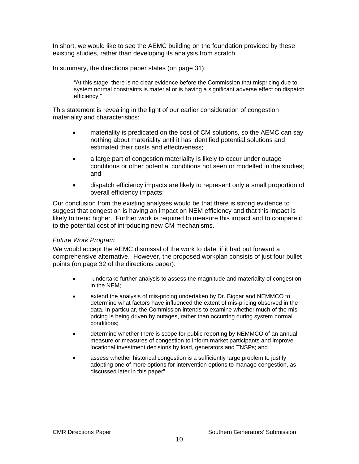In short, we would like to see the AEMC building on the foundation provided by these existing studies, rather than developing its analysis from scratch.

In summary, the directions paper states (on page 31):

"At this stage, there is no clear evidence before the Commission that mispricing due to system normal constraints is material or is having a significant adverse effect on dispatch efficiency."

This statement is revealing in the light of our earlier consideration of congestion materiality and characteristics:

- materiality is predicated on the cost of CM solutions, so the AEMC can say nothing about materiality until it has identified potential solutions and estimated their costs and effectiveness;
- a large part of congestion materiality is likely to occur under outage conditions or other potential conditions not seen or modelled in the studies; and
- dispatch efficiency impacts are likely to represent only a small proportion of overall efficiency impacts;

Our conclusion from the existing analyses would be that there is strong evidence to suggest that congestion is having an impact on NEM efficiency and that this impact is likely to trend higher. Further work is required to measure this impact and to compare it to the potential cost of introducing new CM mechanisms.

#### *Future Work Program*

We would accept the AEMC dismissal of the work to date, if it had put forward a comprehensive alternative. However, the proposed workplan consists of just four bullet points (on page 32 of the directions paper):

- "undertake further analysis to assess the magnitude and materiality of congestion in the NEM;
- extend the analysis of mis-pricing undertaken by Dr. Biggar and NEMMCO to determine what factors have influenced the extent of mis-pricing observed in the data. In particular, the Commission intends to examine whether much of the mispricing is being driven by outages, rather than occurring during system normal conditions;
- determine whether there is scope for public reporting by NEMMCO of an annual measure or measures of congestion to inform market participants and improve locational investment decisions by load, generators and TNSPs; and
- assess whether historical congestion is a sufficiently large problem to justify adopting one of more options for intervention options to manage congestion, as discussed later in this paper".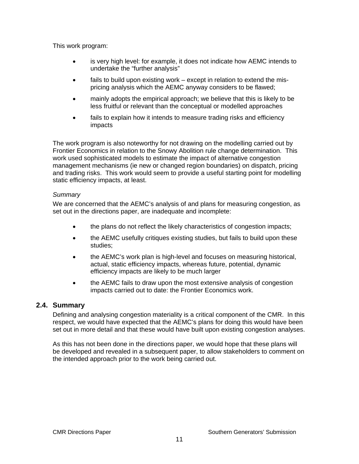<span id="page-14-0"></span>This work program:

- is very high level: for example, it does not indicate how AEMC intends to undertake the "further analysis"
- fails to build upon existing work except in relation to extend the mispricing analysis which the AEMC anyway considers to be flawed;
- mainly adopts the empirical approach; we believe that this is likely to be less fruitful or relevant than the conceptual or modelled approaches
- fails to explain how it intends to measure trading risks and efficiency impacts

The work program is also noteworthy for not drawing on the modelling carried out by Frontier Economics in relation to the Snowy Abolition rule change determination. This work used sophisticated models to estimate the impact of alternative congestion management mechanisms (ie new or changed region boundaries) on dispatch, pricing and trading risks. This work would seem to provide a useful starting point for modelling static efficiency impacts, at least.

#### *Summary*

We are concerned that the AEMC's analysis of and plans for measuring congestion, as set out in the directions paper, are inadequate and incomplete:

- the plans do not reflect the likely characteristics of congestion impacts;
- the AEMC usefully critiques existing studies, but fails to build upon these studies;
- the AEMC's work plan is high-level and focuses on measuring historical, actual, static efficiency impacts, whereas future, potential, dynamic efficiency impacts are likely to be much larger
- the AEMC fails to draw upon the most extensive analysis of congestion impacts carried out to date: the Frontier Economics work.

#### **2.4. Summary**

Defining and analysing congestion materiality is a critical component of the CMR. In this respect, we would have expected that the AEMC's plans for doing this would have been set out in more detail and that these would have built upon existing congestion analyses.

As this has not been done in the directions paper, we would hope that these plans will be developed and revealed in a subsequent paper, to allow stakeholders to comment on the intended approach prior to the work being carried out.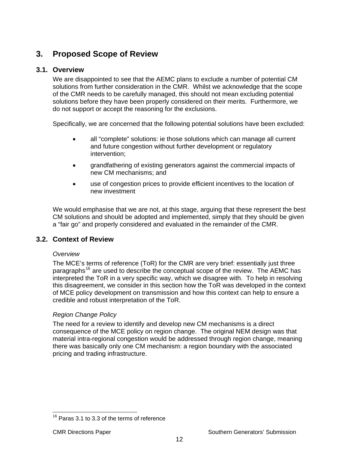# <span id="page-15-0"></span>**3. Proposed Scope of Review**

# **3.1. Overview**

We are disappointed to see that the AEMC plans to exclude a number of potential CM solutions from further consideration in the CMR. Whilst we acknowledge that the scope of the CMR needs to be carefully managed, this should not mean excluding potential solutions before they have been properly considered on their merits. Furthermore, we do not support or accept the reasoning for the exclusions.

Specifically, we are concerned that the following potential solutions have been excluded:

- all "complete" solutions: ie those solutions which can manage all current and future congestion without further development or regulatory intervention;
- grandfathering of existing generators against the commercial impacts of new CM mechanisms; and
- use of congestion prices to provide efficient incentives to the location of new investment

We would emphasise that we are not, at this stage, arguing that these represent the best CM solutions and should be adopted and implemented, simply that they should be given a "fair go" and properly considered and evaluated in the remainder of the CMR.

# **3.2. Context of Review**

# *Overview*

The MCE's terms of reference (ToR) for the CMR are very brief: essentially just three paragraphs<sup>[16](#page-15-1)</sup> are used to describe the conceptual scope of the review. The AEMC has interpreted the ToR in a very specific way, which we disagree with. To help in resolving this disagreement, we consider in this section how the ToR was developed in the context of MCE policy development on transmission and how this context can help to ensure a credible and robust interpretation of the ToR.

# *Region Change Policy*

The need for a review to identify and develop new CM mechanisms is a direct consequence of the MCE policy on region change. The original NEM design was that material intra-regional congestion would be addressed through region change, meaning there was basically only one CM mechanism: a region boundary with the associated pricing and trading infrastructure.

<span id="page-15-1"></span><sup>-</sup> $16$  Paras 3.1 to 3.3 of the terms of reference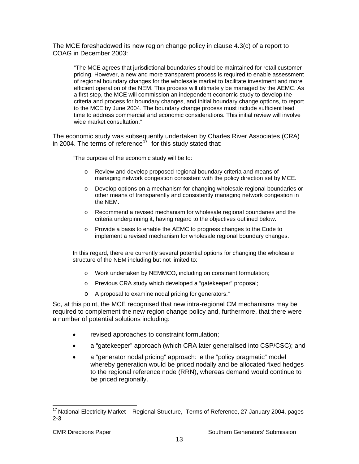The MCE foreshadowed its new region change policy in clause 4.3(c) of a report to COAG in December 2003:

"The MCE agrees that jurisdictional boundaries should be maintained for retail customer pricing. However, a new and more transparent process is required to enable assessment of regional boundary changes for the wholesale market to facilitate investment and more efficient operation of the NEM. This process will ultimately be managed by the AEMC. As a first step, the MCE will commission an independent economic study to develop the criteria and process for boundary changes, and initial boundary change options, to report to the MCE by June 2004. The boundary change process must include sufficient lead time to address commercial and economic considerations. This initial review will involve wide market consultation."

The economic study was subsequently undertaken by Charles River Associates (CRA) in 2004. The terms of reference<sup> $17$ </sup> for this study stated that:

"The purpose of the economic study will be to:

- Review and develop proposed regional boundary criteria and means of managing network congestion consistent with the policy direction set by MCE.
- o Develop options on a mechanism for changing wholesale regional boundaries or other means of transparently and consistently managing network congestion in the NEM.
- o Recommend a revised mechanism for wholesale regional boundaries and the criteria underpinning it, having regard to the objectives outlined below.
- o Provide a basis to enable the AEMC to progress changes to the Code to implement a revised mechanism for wholesale regional boundary changes.

In this regard, there are currently several potential options for changing the wholesale structure of the NEM including but not limited to:

- o Work undertaken by NEMMCO, including on constraint formulation;
- o Previous CRA study which developed a "gatekeeper" proposal;
- o A proposal to examine nodal pricing for generators."

So, at this point, the MCE recognised that new intra-regional CM mechanisms may be required to complement the new region change policy and, furthermore, that there were a number of potential solutions including:

- revised approaches to constraint formulation;
- a "gatekeeper" approach (which CRA later generalised into CSP/CSC); and
- a "generator nodal pricing" approach: ie the "policy pragmatic" model whereby generation would be priced nodally and be allocated fixed hedges to the regional reference node (RRN), whereas demand would continue to be priced regionally.

-

<span id="page-16-0"></span> $17$  National Electricity Market – Regional Structure, Terms of Reference, 27 January 2004, pages 2-3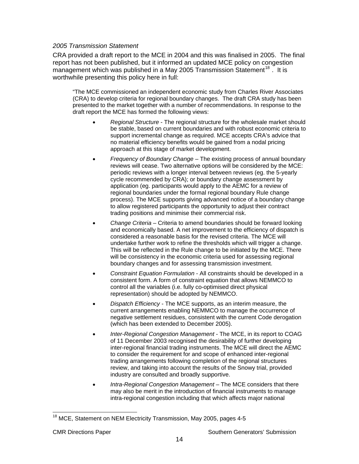#### *2005 Transmission Statement*

CRA provided a draft report to the MCE in 2004 and this was finalised in 2005. The final report has not been published, but it informed an updated MCE policy on congestion management which was published in a May 2005 Transmission Statement<sup>[18](#page-17-0)</sup>. It is worthwhile presenting this policy here in full:

"The MCE commissioned an independent economic study from Charles River Associates (CRA) to develop criteria for regional boundary changes. The draft CRA study has been presented to the market together with a number of recommendations. In response to the draft report the MCE has formed the following views:

- *Regional Structure* The regional structure for the wholesale market should be stable, based on current boundaries and with robust economic criteria to support incremental change as required. MCE accepts CRA's advice that no material efficiency benefits would be gained from a nodal pricing approach at this stage of market development.
- *Frequency of Boundary Change* The existing process of annual boundary reviews will cease. Two alternative options will be considered by the MCE: periodic reviews with a longer interval between reviews (eg. the 5-yearly cycle recommended by CRA); or boundary change assessment by application (eg. participants would apply to the AEMC for a review of regional boundaries under the formal regional boundary Rule change process). The MCE supports giving advanced notice of a boundary change to allow registered participants the opportunity to adjust their contract trading positions and minimise their commercial risk.
- *Change Criteria* Criteria to amend boundaries should be forward looking and economically based. A net improvement to the efficiency of dispatch is considered a reasonable basis for the revised criteria. The MCE will undertake further work to refine the thresholds which will trigger a change. This will be reflected in the Rule change to be initiated by the MCE. There will be consistency in the economic criteria used for assessing regional boundary changes and for assessing transmission investment.
- *Constraint Equation Formulation* All constraints should be developed in a consistent form. A form of constraint equation that allows NEMMCO to control all the variables (i.e. fully co-optimised direct physical representation) should be adopted by NEMMCO.
- *Dispatch Efficiency* The MCE supports, as an interim measure, the current arrangements enabling NEMMCO to manage the occurrence of negative settlement residues, consistent with the current Code derogation (which has been extended to December 2005).
- *Inter-Regional Congestion Management* The MCE, in its report to COAG of 11 December 2003 recognised the desirability of further developing inter-regional financial trading instruments. The MCE will direct the AEMC to consider the requirement for and scope of enhanced inter-regional trading arrangements following completion of the regional structures review, and taking into account the results of the Snowy trial, provided industry are consulted and broadly supportive.
- *Intra-Regional Congestion Management* The MCE considers that there may also be merit in the introduction of financial instruments to manage intra-regional congestion including that which affects major national

<span id="page-17-0"></span><sup>&</sup>lt;sup>18</sup> MCE, Statement on NEM Electricity Transmission, May 2005, pages 4-5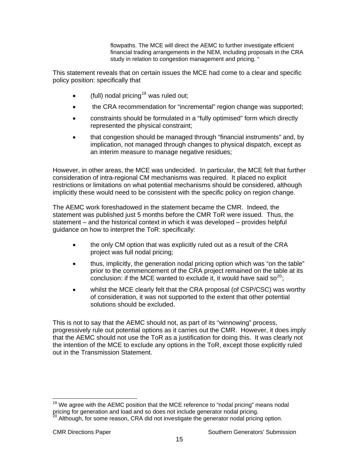flowpaths. The MCE will direct the AEMC to further investigate efficient financial trading arrangements in the NEM, including proposals in the CRA study in relation to congestion management and pricing. "

This statement reveals that on certain issues the MCE had come to a clear and specific policy position: specifically that

- (full) nodal pricing<sup>[19](#page-18-0)</sup> was ruled out;
- the CRA recommendation for "incremental" region change was supported;
- constraints should be formulated in a "fully optimised" form which directly represented the physical constraint;
- that congestion should be managed through "financial instruments" and, by implication, not managed through changes to physical dispatch, except as an interim measure to manage negative residues;

However, in other areas, the MCE was undecided. In particular, the MCE felt that further consideration of intra-regional CM mechanisms was required. It placed no explicit restrictions or limitations on what potential mechanisms should be considered, although implicitly these would need to be consistent with the specific policy on region change.

The AEMC work foreshadowed in the statement became the CMR. Indeed, the statement was published just 5 months before the CMR ToR were issued. Thus, the statement – and the historical context in which it was developed – provides helpful guidance on how to interpret the ToR: specifically:

- the only CM option that was explicitly ruled out as a result of the CRA project was full nodal pricing;
- thus, implicitly, the generation nodal pricing option which was "on the table" prior to the commencement of the CRA project remained on the table at its conclusion: if the MCE wanted to exclude it, it would have said so<sup>[20](#page-18-1)</sup>;
- whilst the MCE clearly felt that the CRA proposal (of CSP/CSC) was worthy of consideration, it was not supported to the extent that other potential solutions should be excluded.

This is not to say that the AEMC should not, as part of its "winnowing" process, progressively rule out potential options as it carries out the CMR. However, it does imply that the AEMC should not use the ToR as a justification for doing this. It was clearly not the intention of the MCE to exclude any options in the ToR, except those explicitly ruled out in the Transmission Statement.

<span id="page-18-0"></span> $\overline{a}$  $19$  We agree with the AEMC position that the MCE reference to "nodal pricing" means nodal pricing for generation and load and so does not include generator nodal pricing.

<span id="page-18-1"></span>Although, for some reason, CRA did not investigate the generator nodal pricing option.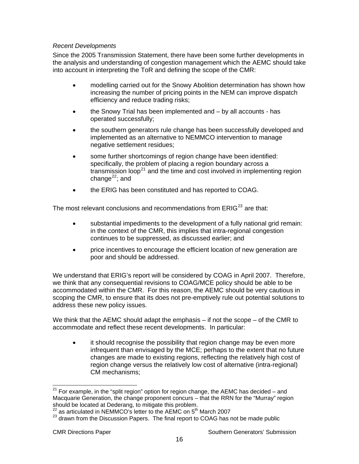#### *Recent Developments*

Since the 2005 Transmission Statement, there have been some further developments in the analysis and understanding of congestion management which the AEMC should take into account in interpreting the ToR and defining the scope of the CMR:

- modelling carried out for the Snowy Abolition determination has shown how increasing the number of pricing points in the NEM can improve dispatch efficiency and reduce trading risks;
- the Snowy Trial has been implemented and by all accounts has operated successfully;
- the southern generators rule change has been successfully developed and implemented as an alternative to NEMMCO intervention to manage negative settlement residues;
- some further shortcomings of region change have been identified: specifically, the problem of placing a region boundary across a transmission loop<sup>[21](#page-19-0)</sup> and the time and cost involved in implementing region change $^{22}$  $^{22}$  $^{22}$ ; and
- the ERIG has been constituted and has reported to COAG.

The most relevant conclusions and recommendations from  $ERIG^{23}$  $ERIG^{23}$  $ERIG^{23}$  are that:

- substantial impediments to the development of a fully national grid remain: in the context of the CMR, this implies that intra-regional congestion continues to be suppressed, as discussed earlier; and
- price incentives to encourage the efficient location of new generation are poor and should be addressed.

We understand that ERIG's report will be considered by COAG in April 2007. Therefore, we think that any consequential revisions to COAG/MCE policy should be able to be accommodated within the CMR. For this reason, the AEMC should be very cautious in scoping the CMR, to ensure that its does not pre-emptively rule out potential solutions to address these new policy issues.

We think that the AEMC should adapt the emphasis – if not the scope – of the CMR to accommodate and reflect these recent developments. In particular:

• it should recognise the possibility that region change may be even more infrequent than envisaged by the MCE; perhaps to the extent that no future changes are made to existing regions, reflecting the relatively high cost of region change versus the relatively low cost of alternative (intra-regional) CM mechanisms;

<span id="page-19-0"></span> $21$  For example, in the "split region" option for region change, the AEMC has decided – and Macquarie Generation, the change proponent concurs – that the RRN for the "Murray" region should be located at Dederang, to mitigate this problem.

<span id="page-19-1"></span> $^{22}$  as articulated in NEMMCO's letter to the AEMC on 5<sup>th</sup> March 2007

<span id="page-19-2"></span><sup>&</sup>lt;sup>23</sup> drawn from the Discussion Papers. The final report to COAG has not be made public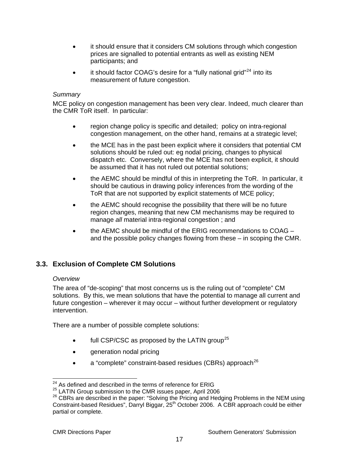- <span id="page-20-0"></span>• it should ensure that it considers CM solutions through which congestion prices are signalled to potential entrants as well as existing NEM participants; and
- it should factor COAG's desire for a "fully national grid"<sup>[24](#page-20-1)</sup> into its measurement of future congestion.

## *Summary*

MCE policy on congestion management has been very clear. Indeed, much clearer than the CMR ToR itself. In particular:

- region change policy is specific and detailed; policy on intra-regional congestion management, on the other hand, remains at a strategic level;
- the MCE has in the past been explicit where it considers that potential CM solutions should be ruled out: eg nodal pricing, changes to physical dispatch etc. Conversely, where the MCE has not been explicit, it should be assumed that it has not ruled out potential solutions;
- the AEMC should be mindful of this in interpreting the ToR. In particular, it should be cautious in drawing policy inferences from the wording of the ToR that are not supported by explicit statements of MCE policy;
- the AEMC should recognise the possibility that there will be no future region changes, meaning that new CM mechanisms may be required to manage *all* material intra-regional congestion ; and
- the AEMC should be mindful of the ERIG recommendations to COAG and the possible policy changes flowing from these – in scoping the CMR.

# **3.3. Exclusion of Complete CM Solutions**

#### *Overview*

The area of "de-scoping" that most concerns us is the ruling out of "complete" CM solutions. By this, we mean solutions that have the potential to manage all current and future congestion – wherever it may occur – without further development or regulatory intervention.

There are a number of possible complete solutions:

- $\bullet$  full CSP/CSC as proposed by the LATIN group<sup>[25](#page-20-2)</sup>
- generation nodal pricing
- a "complete" constraint-based residues (CBRs) approach<sup>[26](#page-20-3)</sup>

 $\overline{a}$  $^{24}$  As defined and described in the terms of reference for ERIG

<span id="page-20-3"></span><span id="page-20-2"></span><span id="page-20-1"></span><sup>&</sup>lt;sup>25</sup> LATIN Group submission to the CMR issues paper, April 2006<br><sup>26</sup> CBRs are described in the paper: "Solving the Pricing and Hedging Problems in the NEM using Constraint-based Residues", Darryl Biggar, 25<sup>th</sup> October 2006. A CBR approach could be either partial or complete.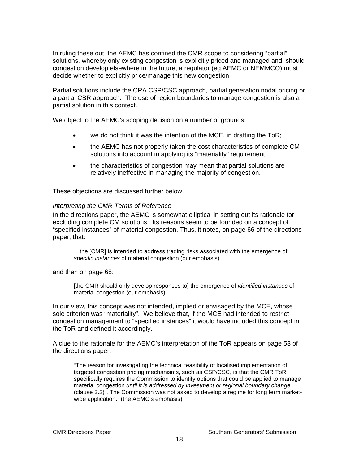In ruling these out, the AEMC has confined the CMR scope to considering "partial" solutions, whereby only existing congestion is explicitly priced and managed and, should congestion develop elsewhere in the future, a regulator (eg AEMC or NEMMCO) must decide whether to explicitly price/manage this new congestion

Partial solutions include the CRA CSP/CSC approach, partial generation nodal pricing or a partial CBR approach. The use of region boundaries to manage congestion is also a partial solution in this context.

We object to the AEMC's scoping decision on a number of grounds:

- we do not think it was the intention of the MCE, in drafting the ToR;
- the AEMC has not properly taken the cost characteristics of complete CM solutions into account in applying its "materiality" requirement;
- the characteristics of congestion may mean that partial solutions are relatively ineffective in managing the majority of congestion.

These objections are discussed further below.

#### *Interpreting the CMR Terms of Reference*

In the directions paper, the AEMC is somewhat elliptical in setting out its rationale for excluding complete CM solutions. Its reasons seem to be founded on a concept of "specified instances" of material congestion. Thus, it notes, on page 66 of the directions paper, that:

…the [CMR] is intended to address trading risks associated with the emergence of *specific instances* of material congestion (our emphasis)

and then on page 68:

[the CMR should only develop responses to] the emergence of *identified instances* of material congestion (our emphasis)

In our view, this concept was not intended, implied or envisaged by the MCE, whose sole criterion was "materiality". We believe that, if the MCE had intended to restrict congestion management to "specified instances" it would have included this concept in the ToR and defined it accordingly.

A clue to the rationale for the AEMC's interpretation of the ToR appears on page 53 of the directions paper:

"The reason for investigating the technical feasibility of localised implementation of targeted congestion pricing mechanisms, such as CSP/CSC, is that the CMR ToR specifically requires the Commission to identify options that could be applied to manage material congestion *until it is addressed by investment or regional boundary change*  (clause 3.2)". The Commission was not asked to develop a regime for long term marketwide application." (the AEMC's emphasis)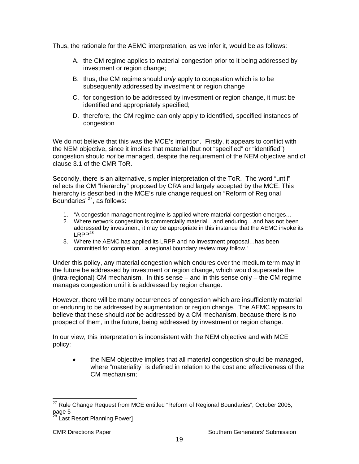Thus, the rationale for the AEMC interpretation, as we infer it, would be as follows:

- A. the CM regime applies to material congestion prior to it being addressed by investment or region change;
- B. thus, the CM regime should *only* apply to congestion which is to be subsequently addressed by investment or region change
- C. for congestion to be addressed by investment or region change, it must be identified and appropriately specified;
- D. therefore, the CM regime can only apply to identified, specified instances of congestion

We do not believe that this was the MCE's intention. Firstly, it appears to conflict with the NEM objective, since it implies that material (but not "specified" or "identified") congestion should *not* be managed, despite the requirement of the NEM objective and of clause 3.1 of the CMR ToR.

Secondly, there is an alternative, simpler interpretation of the ToR. The word "until" reflects the CM "hierarchy" proposed by CRA and largely accepted by the MCE. This hierarchy is described in the MCE's rule change request on "Reform of Regional Boundaries"[27](#page-22-0), as follows:

- 1. "A congestion management regime is applied where material congestion emerges…
- 2. Where network congestion is commercially material…and enduring…and has not been addressed by investment, it may be appropriate in this instance that the AEMC invoke its  $LRPP<sup>28</sup>$  $LRPP<sup>28</sup>$  $LRPP<sup>28</sup>$
- 3. Where the AEMC has applied its LRPP and no investment proposal…has been committed for completion…a regional boundary review may follow."

Under this policy, any material congestion which endures over the medium term may in the future be addressed by investment or region change, which would supersede the (intra-regional) CM mechanism. In this sense – and in this sense only – the CM regime manages congestion until it is addressed by region change.

However, there will be many occurrences of congestion which are insufficiently material or enduring to be addressed by augmentation or region change. The AEMC appears to believe that these should *not* be addressed by a CM mechanism, because there is no prospect of them, in the future, being addressed by investment or region change.

In our view, this interpretation is inconsistent with the NEM objective and with MCE policy:

• the NEM objective implies that all material congestion should be managed, where "materiality" is defined in relation to the cost and effectiveness of the CM mechanism;

<span id="page-22-0"></span> $\overline{a}$  $27$  Rule Change Request from MCE entitled "Reform of Regional Boundaries", October 2005, page 5

<span id="page-22-1"></span><sup>&</sup>lt;sup>3</sup> Last Resort Planning Power]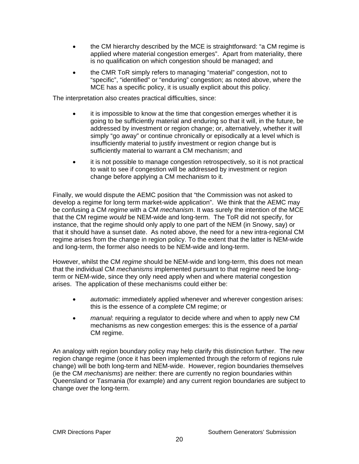- the CM hierarchy described by the MCE is straightforward: "a CM regime is applied where material congestion emerges". Apart from materiality, there is no qualification on which congestion should be managed; and
- the CMR ToR simply refers to managing "material" congestion, not to "specific", "identified" or "enduring" congestion; as noted above, where the MCE has a specific policy, it is usually explicit about this policy.

The interpretation also creates practical difficulties, since:

- it is impossible to know at the time that congestion emerges whether it is going to be sufficiently material and enduring so that it will, in the future, be addressed by investment or region change; or, alternatively, whether it will simply "go away" or continue chronically or episodically at a level which is insufficiently material to justify investment or region change but is sufficiently material to warrant a CM mechanism; and
- it is not possible to manage congestion retrospectively, so it is not practical to wait to see if congestion will be addressed by investment or region change before applying a CM mechanism to it.

Finally, we would dispute the AEMC position that "the Commission was not asked to develop a regime for long term market-wide application". We think that the AEMC may be confusing a CM *regime* with a CM *mechanism*. It was surely the intention of the MCE that the CM regime *would* be NEM-wide and long-term. The ToR did not specify, for instance, that the regime should only apply to one part of the NEM (in Snowy, say) or that it should have a sunset date. As noted above, the need for a new intra-regional CM regime arises from the change in region policy. To the extent that the latter is NEM-wide and long-term, the former also needs to be NEM-wide and long-term.

However, whilst the CM *regime* should be NEM-wide and long-term, this does not mean that the individual CM *mechanisms* implemented pursuant to that regime need be longterm or NEM-wide, since they only need apply when and where material congestion arises. The application of these mechanisms could either be:

- *automatic*: immediately applied whenever and wherever congestion arises: this is the essence of a *complete* CM regime; or
- *manual*: requiring a regulator to decide where and when to apply new CM mechanisms as new congestion emerges: this is the essence of a *partial* CM regime.

An analogy with region boundary policy may help clarify this distinction further. The new region change regime (once it has been implemented through the reform of regions rule change) will be both long-term and NEM-wide. However, region boundaries themselves (ie the CM *mechanisms*) are neither: there are currently no region boundaries within Queensland or Tasmania (for example) and any current region boundaries are subject to change over the long-term.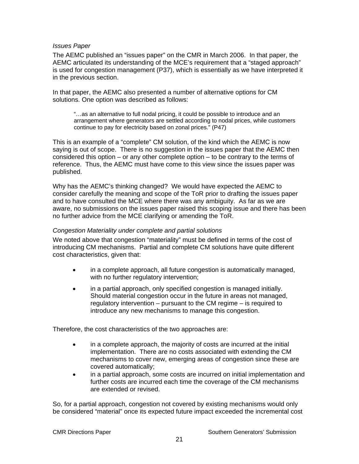#### *Issues Paper*

The AEMC published an "issues paper" on the CMR in March 2006. In that paper, the AEMC articulated its understanding of the MCE's requirement that a "staged approach" is used for congestion management (P37), which is essentially as we have interpreted it in the previous section.

In that paper, the AEMC also presented a number of alternative options for CM solutions. One option was described as follows:

"…as an alternative to full nodal pricing, it could be possible to introduce and an arrangement where generators are settled according to nodal prices, while customers continue to pay for electricity based on zonal prices." (P47)

This is an example of a "complete" CM solution, of the kind which the AEMC is now saying is out of scope. There is no suggestion in the issues paper that the AEMC then considered this option – or any other complete option – to be contrary to the terms of reference. Thus, the AEMC must have come to this view since the issues paper was published.

Why has the AEMC's thinking changed? We would have expected the AEMC to consider carefully the meaning and scope of the ToR prior to drafting the issues paper and to have consulted the MCE where there was any ambiguity. As far as we are aware, no submissions on the issues paper raised this scoping issue and there has been no further advice from the MCE clarifying or amending the ToR.

#### *Congestion Materiality under complete and partial solutions*

We noted above that congestion "materiality" must be defined in terms of the cost of introducing CM mechanisms. Partial and complete CM solutions have quite different cost characteristics, given that:

- in a complete approach, all future congestion is automatically managed, with no further regulatory intervention;
- in a partial approach, only specified congestion is managed initially. Should material congestion occur in the future in areas not managed, regulatory intervention – pursuant to the CM regime – is required to introduce any new mechanisms to manage this congestion.

Therefore, the cost characteristics of the two approaches are:

- in a complete approach, the majority of costs are incurred at the initial implementation. There are no costs associated with extending the CM mechanisms to cover new, emerging areas of congestion since these are covered automatically;
- in a partial approach, some costs are incurred on initial implementation and further costs are incurred each time the coverage of the CM mechanisms are extended or revised.

So, for a partial approach, congestion not covered by existing mechanisms would only be considered "material" once its expected future impact exceeded the incremental cost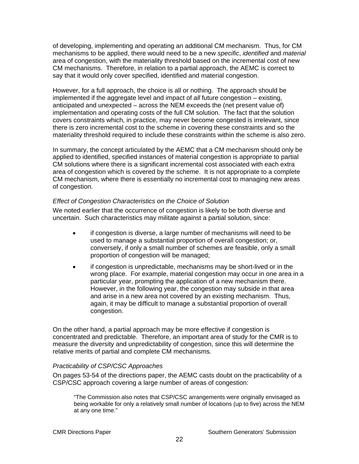of developing, implementing and operating an additional CM mechanism. Thus, for CM mechanisms to be applied, there would need to be a new *specific*, *identified* and *material* area of congestion, with the materiality threshold based on the incremental cost of new CM mechanisms. Therefore, in relation to a partial approach, the AEMC is correct to say that it would only cover specified, identified and material congestion.

However, for a full approach, the choice is all or nothing. The approach should be implemented if the aggregate level and impact of *all* future congestion – existing, anticipated and unexpected – across the NEM exceeds the (net present value of) implementation and operating costs of the full CM solution. The fact that the solution covers constraints which, in practice, may never become congested is irrelevant, since there is zero incremental cost to the scheme in covering these constraints and so the materiality threshold required to include these constraints within the scheme is also zero.

In summary, the concept articulated by the AEMC that a CM mechanism should only be applied to identified, specified instances of material congestion is appropriate to partial CM solutions where there is a significant incremental cost associated with each extra area of congestion which is covered by the scheme. It is not appropriate to a complete CM mechanism, where there is essentially no incremental cost to managing new areas of congestion.

#### *Effect of Congestion Characteristics on the Choice of Solution*

We noted earlier that the occurrence of congestion is likely to be both diverse and uncertain. Such characteristics may militate against a partial solution, since:

- if congestion is diverse, a large number of mechanisms will need to be used to manage a substantial proportion of overall congestion; or, conversely, if only a small number of schemes are feasible, only a small proportion of congestion will be managed;
- if congestion is unpredictable, mechanisms may be short-lived or in the wrong place. For example, material congestion may occur in one area in a particular year, prompting the application of a new mechanism there. However, in the following year, the congestion may subside in that area and arise in a new area not covered by an existing mechanism. Thus, again, it may be difficult to manage a substantial proportion of overall congestion.

On the other hand, a partial approach may be more effective if congestion is concentrated and predictable. Therefore, an important area of study for the CMR is to measure the diversity and unpredictability of congestion, since this will determine the relative merits of partial and complete CM mechanisms.

#### *Practicability of CSP/CSC Approaches*

On pages 53-54 of the directions paper, the AEMC casts doubt on the practicability of a CSP/CSC approach covering a large number of areas of congestion:

"The Commission also notes that CSP/CSC arrangements were originally envisaged as being workable for only a relatively small number of locations (up to five) across the NEM at any one time."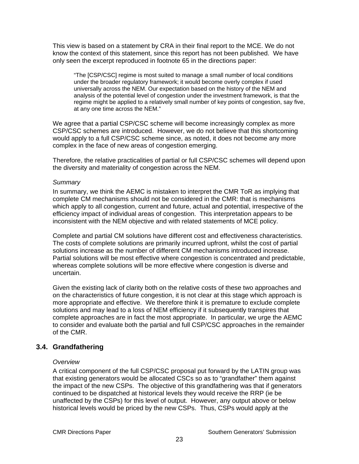<span id="page-26-0"></span>This view is based on a statement by CRA in their final report to the MCE. We do not know the context of this statement, since this report has not been published. We have only seen the excerpt reproduced in footnote 65 in the directions paper:

"The [CSP/CSC] regime is most suited to manage a small number of local conditions under the broader regulatory framework; it would become overly complex if used universally across the NEM. Our expectation based on the history of the NEM and analysis of the potential level of congestion under the investment framework, is that the regime might be applied to a relatively small number of key points of congestion, say five, at any one time across the NEM."

We agree that a partial CSP/CSC scheme will become increasingly complex as more CSP/CSC schemes are introduced. However, we do not believe that this shortcoming would apply to a full CSP/CSC scheme since, as noted, it does not become any more complex in the face of new areas of congestion emerging.

Therefore, the relative practicalities of partial or full CSP/CSC schemes will depend upon the diversity and materiality of congestion across the NEM.

#### *Summary*

In summary, we think the AEMC is mistaken to interpret the CMR ToR as implying that complete CM mechanisms should not be considered in the CMR: that is mechanisms which apply to all congestion, current and future, actual and potential, irrespective of the efficiency impact of individual areas of congestion. This interpretation appears to be inconsistent with the NEM objective and with related statements of MCE policy.

Complete and partial CM solutions have different cost and effectiveness characteristics. The costs of complete solutions are primarily incurred upfront, whilst the cost of partial solutions increase as the number of different CM mechanisms introduced increase. Partial solutions will be most effective where congestion is concentrated and predictable, whereas complete solutions will be more effective where congestion is diverse and uncertain.

Given the existing lack of clarity both on the relative costs of these two approaches and on the characteristics of future congestion, it is not clear at this stage which approach is more appropriate and effective. We therefore think it is premature to exclude complete solutions and may lead to a loss of NEM efficiency if it subsequently transpires that complete approaches are in fact the most appropriate. In particular, we urge the AEMC to consider and evaluate both the partial and full CSP/CSC approaches in the remainder of the CMR.

# **3.4. Grandfathering**

#### *Overview*

A critical component of the full CSP/CSC proposal put forward by the LATIN group was that existing generators would be allocated CSCs so as to "grandfather" them against the impact of the new CSPs. The objective of this grandfathering was that if generators continued to be dispatched at historical levels they would receive the RRP (ie be unaffected by the CSPs) for this level of output. However, any output above or below historical levels would be priced by the new CSPs. Thus, CSPs would apply at the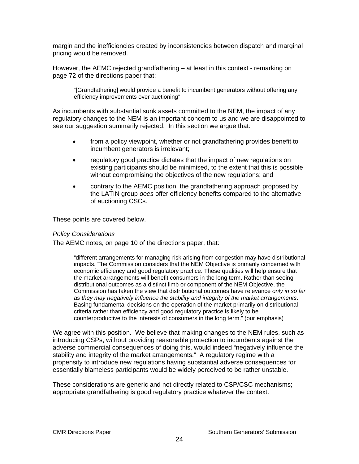margin and the inefficiencies created by inconsistencies between dispatch and marginal pricing would be removed.

However, the AEMC rejected grandfathering – at least in this context - remarking on page 72 of the directions paper that:

"[Grandfathering] would provide a benefit to incumbent generators without offering any efficiency improvements over auctioning"

As incumbents with substantial sunk assets committed to the NEM, the impact of any regulatory changes to the NEM is an important concern to us and we are disappointed to see our suggestion summarily rejected. In this section we argue that:

- from a policy viewpoint, whether or not grandfathering provides benefit to incumbent generators is irrelevant;
- regulatory good practice dictates that the impact of new regulations on existing participants should be minimised, to the extent that this is possible without compromising the objectives of the new regulations; and
- contrary to the AEMC position, the grandfathering approach proposed by the LATIN group *does* offer efficiency benefits compared to the alternative of auctioning CSCs.

These points are covered below.

#### *Policy Considerations*

The AEMC notes, on page 10 of the directions paper, that:

"different arrangements for managing risk arising from congestion may have distributional impacts. The Commission considers that the NEM Objective is primarily concerned with economic efficiency and good regulatory practice. These qualities will help ensure that the market arrangements will benefit consumers in the long term. Rather than seeing distributional outcomes as a distinct limb or component of the NEM Objective, the Commission has taken the view that distributional outcomes have relevance *only in so far as they may negatively influence the stability and integrity of the market arrangements*. Basing fundamental decisions on the operation of the market primarily on distributional criteria rather than efficiency and good regulatory practice is likely to be counterproductive to the interests of consumers in the long term." (our emphasis)

We agree with this position. We believe that making changes to the NEM rules, such as introducing CSPs, without providing reasonable protection to incumbents against the adverse commercial consequences of doing this, would indeed "negatively influence the stability and integrity of the market arrangements." A regulatory regime with a propensity to introduce new regulations having substantial adverse consequences for essentially blameless participants would be widely perceived to be rather unstable.

These considerations are generic and not directly related to CSP/CSC mechanisms; appropriate grandfathering is good regulatory practice whatever the context.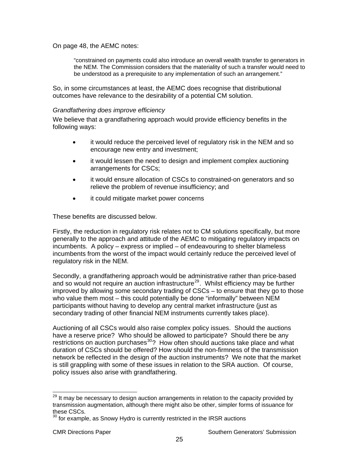On page 48, the AEMC notes:

"constrained on payments could also introduce an overall wealth transfer to generators in the NEM. The Commission considers that the materiality of such a transfer would need to be understood as a prerequisite to any implementation of such an arrangement."

So, in some circumstances at least, the AEMC does recognise that distributional outcomes have relevance to the desirability of a potential CM solution.

#### *Grandfathering does improve efficiency*

We believe that a grandfathering approach would provide efficiency benefits in the following ways:

- it would reduce the perceived level of regulatory risk in the NEM and so encourage new entry and investment;
- it would lessen the need to design and implement complex auctioning arrangements for CSCs;
- it would ensure allocation of CSCs to constrained-on generators and so relieve the problem of revenue insufficiency; and
- it could mitigate market power concerns

These benefits are discussed below.

Firstly, the reduction in regulatory risk relates not to CM solutions specifically, but more generally to the approach and attitude of the AEMC to mitigating regulatory impacts on incumbents. A policy – express or implied – of endeavouring to shelter blameless incumbents from the worst of the impact would certainly reduce the perceived level of regulatory risk in the NEM.

Secondly, a grandfathering approach would be administrative rather than price-based and so would not require an auction infrastructure<sup>[29](#page-28-0)</sup>. Whilst efficiency may be further improved by allowing some secondary trading of CSCs – to ensure that they go to those who value them most – this could potentially be done "informally" between NEM participants without having to develop any central market infrastructure (just as secondary trading of other financial NEM instruments currently takes place).

Auctioning of all CSCs would also raise complex policy issues. Should the auctions have a reserve price? Who should be allowed to participate? Should there be any restrictions on auction purchases $30$ ? How often should auctions take place and what duration of CSCs should be offered? How should the non-firmness of the transmission network be reflected in the design of the auction instruments? We note that the market is still grappling with some of these issues in relation to the SRA auction. Of course, policy issues also arise with grandfathering.

<span id="page-28-0"></span><sup>-</sup><sup>29</sup> It may be necessary to design auction arrangements in relation to the capacity provided by transmission augmentation, although there might also be other, simpler forms of issuance for these CSCs.

<span id="page-28-1"></span> $30$  for example, as Snowy Hydro is currently restricted in the IRSR auctions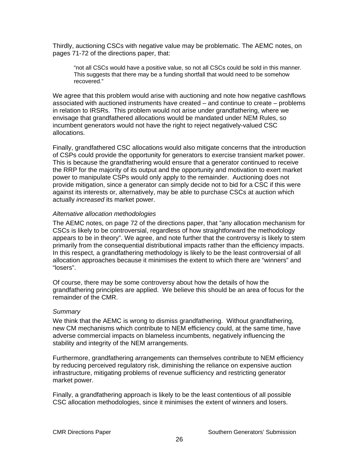Thirdly, auctioning CSCs with negative value may be problematic. The AEMC notes, on pages 71-72 of the directions paper, that:

"not all CSCs would have a positive value, so not all CSCs could be sold in this manner. This suggests that there may be a funding shortfall that would need to be somehow recovered."

We agree that this problem would arise with auctioning and note how negative cashflows associated with auctioned instruments have created – and continue to create – problems in relation to IRSRs. This problem would not arise under grandfathering, where we envisage that grandfathered allocations would be mandated under NEM Rules, so incumbent generators would not have the right to reject negatively-valued CSC allocations.

Finally, grandfathered CSC allocations would also mitigate concerns that the introduction of CSPs could provide the opportunity for generators to exercise transient market power. This is because the grandfathering would ensure that a generator continued to receive the RRP for the majority of its output and the opportunity and motivation to exert market power to manipulate CSPs would only apply to the remainder. Auctioning does not provide mitigation, since a generator can simply decide not to bid for a CSC if this were against its interests or, alternatively, may be able to purchase CSCs at auction which actually *increased* its market power.

#### *Alternative allocation methodologies*

The AEMC notes, on page 72 of the directions paper, that "any allocation mechanism for CSCs is likely to be controversial, regardless of how straightforward the methodology appears to be in theory". We agree, and note further that the controversy is likely to stem primarily from the consequential distributional impacts rather than the efficiency impacts. In this respect, a grandfathering methodology is likely to be the least controversial of all allocation approaches because it minimises the extent to which there are "winners" and "losers".

Of course, there may be some controversy about how the details of how the grandfathering principles are applied. We believe this should be an area of focus for the remainder of the CMR.

#### *Summary*

We think that the AEMC is wrong to dismiss grandfathering. Without grandfathering, new CM mechanisms which contribute to NEM efficiency could, at the same time, have adverse commercial impacts on blameless incumbents, negatively influencing the stability and integrity of the NEM arrangements.

Furthermore, grandfathering arrangements can themselves contribute to NEM efficiency by reducing perceived regulatory risk, diminishing the reliance on expensive auction infrastructure, mitigating problems of revenue sufficiency and restricting generator market power.

Finally, a grandfathering approach is likely to be the least contentious of all possible CSC allocation methodologies, since it minimises the extent of winners and losers.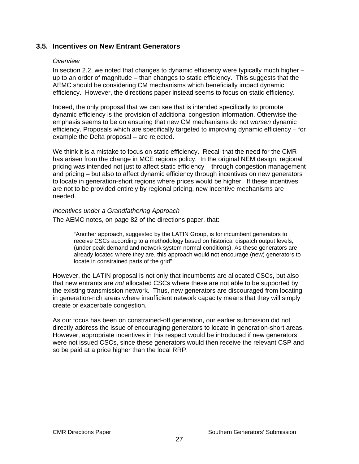# <span id="page-30-0"></span>**3.5. Incentives on New Entrant Generators**

#### *Overview*

In section 2.2, we noted that changes to dynamic efficiency were typically much higher – up to an order of magnitude – than changes to static efficiency. This suggests that the AEMC should be considering CM mechanisms which beneficially impact dynamic efficiency. However, the directions paper instead seems to focus on static efficiency.

Indeed, the only proposal that we can see that is intended specifically to promote dynamic efficiency is the provision of additional congestion information. Otherwise the emphasis seems to be on ensuring that new CM mechanisms do not *worsen* dynamic efficiency. Proposals which are specifically targeted to improving dynamic efficiency – for example the Delta proposal – are rejected.

We think it is a mistake to focus on static efficiency. Recall that the need for the CMR has arisen from the change in MCE regions policy. In the original NEM design, regional pricing was intended not just to affect static efficiency – through congestion management and pricing – but also to affect dynamic efficiency through incentives on new generators to locate in generation-short regions where prices would be higher. If these incentives are not to be provided entirely by regional pricing, new incentive mechanisms are needed.

#### *Incentives under a Grandfathering Approach*

The AEMC notes, on page 82 of the directions paper, that:

"Another approach, suggested by the LATIN Group, is for incumbent generators to receive CSCs according to a methodology based on historical dispatch output levels, (under peak demand and network system normal conditions). As these generators are already located where they are, this approach would not encourage (new) generators to locate in constrained parts of the grid"

However, the LATIN proposal is not only that incumbents are allocated CSCs, but also that new entrants are *not* allocated CSCs where these are not able to be supported by the existing transmission network. Thus, new generators are discouraged from locating in generation-rich areas where insufficient network capacity means that they will simply create or exacerbate congestion.

As our focus has been on constrained-off generation, our earlier submission did not directly address the issue of encouraging generators to locate in generation-short areas. However, appropriate incentives in this respect would be introduced if new generators were not issued CSCs, since these generators would then receive the relevant CSP and so be paid at a price higher than the local RRP.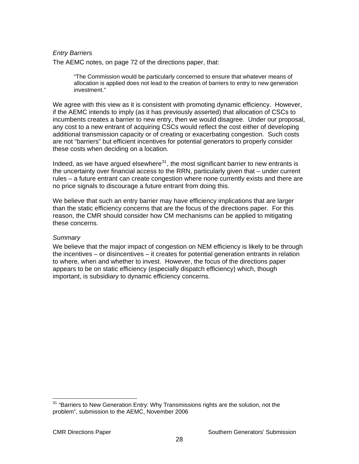#### *Entry Barriers*

The AEMC notes, on page 72 of the directions paper, that:

"The Commission would be particularly concerned to ensure that whatever means of allocation is applied does not lead to the creation of barriers to entry to new generation investment."

We agree with this view as it is consistent with promoting dynamic efficiency. However, if the AEMC intends to imply (as it has previously asserted) that allocation of CSCs to incumbents creates a barrier to new entry, then we would disagree. Under our proposal, any cost to a new entrant of acquiring CSCs would reflect the cost either of developing additional transmission capacity or of creating or exacerbating congestion. Such costs are not "barriers" but efficient incentives for potential generators to properly consider these costs when deciding on a location.

Indeed, as we have argued elsewhere $31$ , the most significant barrier to new entrants is the uncertainty over financial access to the RRN, particularly given that – under current rules – a future entrant can create congestion where none currently exists and there are no price signals to discourage a future entrant from doing this.

We believe that such an entry barrier may have efficiency implications that are larger than the static efficiency concerns that are the focus of the directions paper. For this reason, the CMR should consider how CM mechanisms can be applied to mitigating these concerns.

#### *Summary*

We believe that the major impact of congestion on NEM efficiency is likely to be through the incentives – or disincentives – it creates for potential generation entrants in relation to where, when and whether to invest. However, the focus of the directions paper appears to be on static efficiency (especially dispatch efficiency) which, though important, is subsidiary to dynamic efficiency concerns.

<span id="page-31-0"></span> $31$  "Barriers to New Generation Entry: Why Transmissions rights are the solution, not the problem", submission to the AEMC, November 2006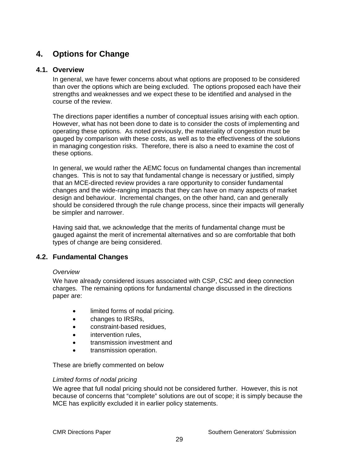# <span id="page-32-0"></span>**4. Options for Change**

## **4.1. Overview**

In general, we have fewer concerns about what options are proposed to be considered than over the options which are being excluded. The options proposed each have their strengths and weaknesses and we expect these to be identified and analysed in the course of the review.

The directions paper identifies a number of conceptual issues arising with each option. However, what has not been done to date is to consider the costs of implementing and operating these options. As noted previously, the materiality of congestion must be gauged by comparison with these costs, as well as to the effectiveness of the solutions in managing congestion risks. Therefore, there is also a need to examine the cost of these options.

In general, we would rather the AEMC focus on fundamental changes than incremental changes. This is not to say that fundamental change is necessary or justified, simply that an MCE-directed review provides a rare opportunity to consider fundamental changes and the wide-ranging impacts that they can have on many aspects of market design and behaviour. Incremental changes, on the other hand, can and generally should be considered through the rule change process, since their impacts will generally be simpler and narrower.

Having said that, we acknowledge that the merits of fundamental change must be gauged against the merit of incremental alternatives and so are comfortable that both types of change are being considered.

# **4.2. Fundamental Changes**

#### *Overview*

We have already considered issues associated with CSP, CSC and deep connection charges. The remaining options for fundamental change discussed in the directions paper are:

- limited forms of nodal pricing.
- changes to IRSRs,
- constraint-based residues,
- intervention rules,
- transmission investment and
- transmission operation.

These are briefly commented on below

#### *Limited forms of nodal pricing*

We agree that full nodal pricing should not be considered further. However, this is not because of concerns that "complete" solutions are out of scope; it is simply because the MCE has explicitly excluded it in earlier policy statements.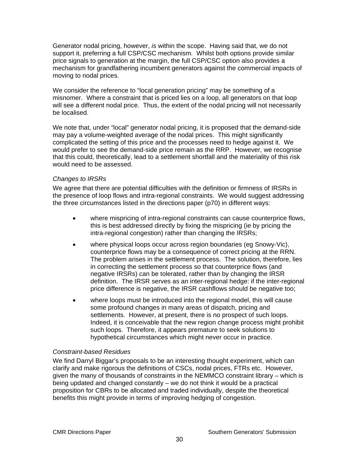Generator nodal pricing, however, *is* within the scope. Having said that, we do not support it, preferring a full CSP/CSC mechanism. Whilst both options provide similar price signals to generation at the margin, the full CSP/CSC option also provides a mechanism for grandfathering incumbent generators against the commercial impacts of moving to nodal prices.

We consider the reference to "local generation pricing" may be something of a misnomer. Where a constraint that is priced lies on a loop, all generators on that loop will see a different nodal price. Thus, the extent of the nodal pricing will not necessarily be localised.

We note that, under "local" generator nodal pricing, it is proposed that the demand-side may pay a volume-weighted average of the nodal prices. This might significantly complicated the setting of this price and the processes need to hedge against it. We would prefer to see the demand-side price remain as the RRP. However, we recognise that this could, theoretically, lead to a settlement shortfall and the materiality of this risk would need to be assessed.

#### *Changes to IRSRs*

We agree that there are potential difficulties with the definition or firmness of IRSRs in the presence of loop flows and intra-regional constraints. We would suggest addressing the three circumstances listed in the directions paper (p70) in different ways:

- where mispricing of intra-regional constraints can cause counterprice flows, this is best addressed directly by fixing the mispricing (ie by pricing the intra-regional congestion) rather than changing the IRSRs;
- where physical loops occur across region boundaries (eg Snowy-Vic), counterprice flows may be a consequence of correct pricing at the RRN. The problem arises in the settlement process. The solution, therefore, lies in correcting the settlement process so that counterprice flows (and negative IRSRs) can be tolerated, rather than by changing the IRSR definition. The IRSR serves as an inter-regional hedge: if the inter-regional price difference is negative, the IRSR cashflows should be negative too;
- where loops must be introduced into the regional model, this will cause some profound changes in many areas of dispatch, pricing and settlements. However, at present, there is no prospect of such loops. Indeed, it is conceivable that the new region change process might prohibit such loops. Therefore, it appears premature to seek solutions to hypothetical circumstances which might never occur in practice.

# *Constraint-based Residues*

We find Darryl Biggar's proposals to be an interesting thought experiment, which can clarify and make rigorous the definitions of CSCs, nodal prices, FTRs etc. However, given the many of thousands of constraints in the NEMMCO constraint library – which is being updated and changed constantly – we do not think it would be a practical proposition for CBRs to be allocated and traded individually, despite the theoretical benefits this might provide in terms of improving hedging of congestion.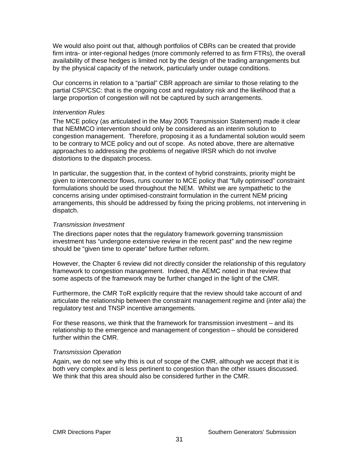We would also point out that, although portfolios of CBRs can be created that provide firm intra- or inter-regional hedges (more commonly referred to as firm FTRs), the overall availability of these hedges is limited not by the design of the trading arrangements but by the physical capacity of the network, particularly under outage conditions.

Our concerns in relation to a "partial" CBR approach are similar to those relating to the partial CSP/CSC: that is the ongoing cost and regulatory risk and the likelihood that a large proportion of congestion will not be captured by such arrangements.

#### *Intervention Rules*

The MCE policy (as articulated in the May 2005 Transmission Statement) made it clear that NEMMCO intervention should only be considered as an interim solution to congestion management. Therefore, proposing it as a fundamental solution would seem to be contrary to MCE policy and out of scope. As noted above, there are alternative approaches to addressing the problems of negative IRSR which do not involve distortions to the dispatch process.

In particular, the suggestion that, in the context of hybrid constraints, priority might be given to interconnector flows, runs counter to MCE policy that "fully optimised" constraint formulations should be used throughout the NEM. Whilst we are sympathetic to the concerns arising under optimised-constraint formulation in the current NEM pricing arrangements, this should be addressed by fixing the pricing problems, not intervening in dispatch.

#### *Transmission Investment*

The directions paper notes that the regulatory framework governing transmission investment has "undergone extensive review in the recent past" and the new regime should be "given time to operate" before further reform.

However, the Chapter 6 review did not directly consider the relationship of this regulatory framework to congestion management. Indeed, the AEMC noted in that review that some aspects of the framework may be further changed in the light of the CMR.

Furthermore, the CMR ToR explicitly require that the review should take account of and articulate the relationship between the constraint management regime and (*inter alia*) the regulatory test and TNSP incentive arrangements.

For these reasons, we think that the framework for transmission investment – and its relationship to the emergence and management of congestion – should be considered further within the CMR.

#### *Transmission Operation*

Again, we do not see why this is out of scope of the CMR, although we accept that it is both very complex and is less pertinent to congestion than the other issues discussed. We think that this area should also be considered further in the CMR.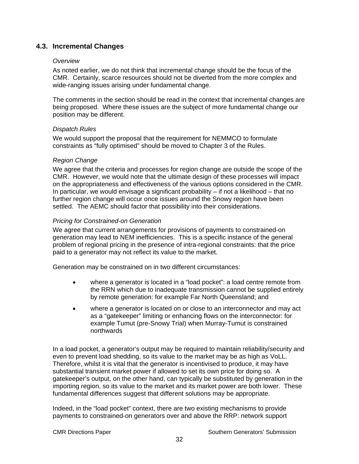# <span id="page-35-0"></span>**4.3. Incremental Changes**

#### *Overview*

As noted earlier, we do not think that incremental change should be the focus of the CMR. Certainly, scarce resources should not be diverted from the more complex and wide-ranging issues arising under fundamental change.

The comments in the section should be read in the context that incremental changes are being proposed. Where these issues are the subject of more fundamental change our position may be different.

#### *Dispatch Rules*

We would support the proposal that the requirement for NEMMCO to formulate constraints as "fully optimised" should be moved to Chapter 3 of the Rules.

#### *Region Change*

We agree that the criteria and processes for region change are outside the scope of the CMR. However, we would note that the ultimate design of these processes will impact on the appropriateness and effectiveness of the various options considered in the CMR. In particular, we would envisage a significant probability – if not a likelihood – that no further region change will occur once issues around the Snowy region have been settled. The AEMC should factor that possibility into their considerations.

#### *Pricing for Constrained-on Generation*

We agree that current arrangements for provisions of payments to constrained-on generation may lead to NEM inefficiencies. This is a specific instance of the general problem of regional pricing in the presence of intra-regional constraints: that the price paid to a generator may not reflect its value to the market.

Generation may be constrained on in two different circumstances:

- where a generator is located in a "load pocket": a load centre remote from the RRN which due to inadequate transmission cannot be supplied entirely by remote generation: for example Far North Queensland; and
- where a generator is located on or close to an interconnector and may act as a "gatekeeper" limiting or enhancing flows on the interconnector: for example Tumut (pre-Snowy Trial) when Murray-Tumut is constrained northwards

In a load pocket, a generator's output may be required to maintain reliability/security and even to prevent load shedding, so its value to the market may be as high as VoLL. Therefore, whilst it is vital that the generator is incentivised to produce, it may have substantial transient market power if allowed to set its own price for doing so. A gatekeeper's output, on the other hand, can typically be substituted by generation in the importing region, so its value to the market and its market power are both lower. These fundamental differences suggest that different solutions may be appropriate.

Indeed, in the "load pocket" context, there are two existing mechanisms to provide payments to constrained-on generators over and above the RRP: network support

CMR Directions Paper **Southern Generators'** Submission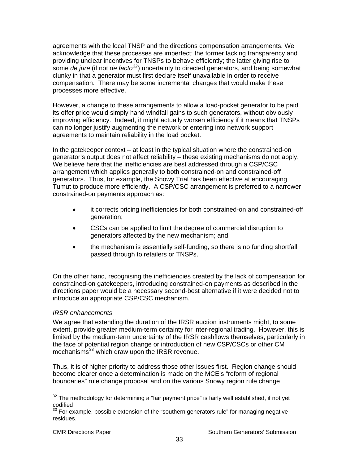agreements with the local TNSP and the directions compensation arrangements. We acknowledge that these processes are imperfect: the former lacking transparency and providing unclear incentives for TNSPs to behave efficiently; the latter giving rise to some *de jure* (if not *de facto[32](#page-36-0)*) uncertainty to directed generators, and being somewhat clunky in that a generator must first declare itself unavailable in order to receive compensation. There may be some incremental changes that would make these processes more effective.

However, a change to these arrangements to allow a load-pocket generator to be paid its offer price would simply hand windfall gains to such generators, without obviously improving efficiency. Indeed, it might actually worsen efficiency if it means that TNSPs can no longer justify augmenting the network or entering into network support agreements to maintain reliability in the load pocket.

In the gatekeeper context – at least in the typical situation where the constrained-on generator's output does not affect reliability – these existing mechanisms do not apply. We believe here that the inefficiencies are best addressed through a CSP/CSC arrangement which applies generally to both constrained-on and constrained-off generators. Thus, for example, the Snowy Trial has been effective at encouraging Tumut to produce more efficiently. A CSP/CSC arrangement is preferred to a narrower constrained-on payments approach as:

- it corrects pricing inefficiencies for both constrained-on and constrained-off generation;
- CSCs can be applied to limit the degree of commercial disruption to generators affected by the new mechanism; and
- the mechanism is essentially self-funding, so there is no funding shortfall passed through to retailers or TNSPs.

On the other hand, recognising the inefficiencies created by the lack of compensation for constrained-on gatekeepers, introducing constrained-on payments as described in the directions paper would be a necessary second-best alternative if it were decided not to introduce an appropriate CSP/CSC mechanism.

#### *IRSR enhancements*

We agree that extending the duration of the IRSR auction instruments might, to some extent, provide greater medium-term certainty for inter-regional trading. However, this is limited by the medium-term uncertainty of the IRSR cashflows themselves, particularly in the face of potential region change or introduction of new CSP/CSCs or other CM mechanisms<sup>[33](#page-36-1)</sup> which draw upon the IRSR revenue.

Thus, it is of higher priority to address those other issues first. Region change should become clearer once a determination is made on the MCE's "reform of regional boundaries" rule change proposal and on the various Snowy region rule change

<span id="page-36-0"></span> $32$  The methodology for determining a "fair payment price" is fairly well established, if not yet codified

<span id="page-36-1"></span><sup>33</sup> For example, possible extension of the "southern generators rule" for managing negative residues.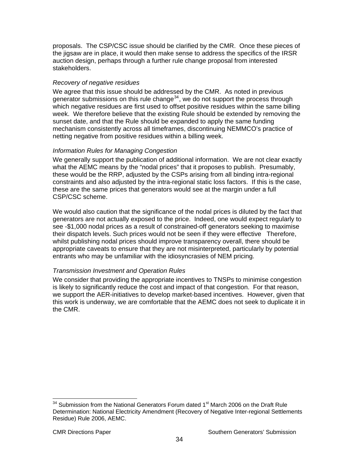proposals. The CSP/CSC issue should be clarified by the CMR. Once these pieces of the jigsaw are in place, it would then make sense to address the specifics of the IRSR auction design, perhaps through a further rule change proposal from interested stakeholders.

## *Recovery of negative residues*

We agree that this issue should be addressed by the CMR. As noted in previous generator submissions on this rule change $34$ , we do not support the process through which negative residues are first used to offset positive residues within the same billing week. We therefore believe that the existing Rule should be extended by removing the sunset date, and that the Rule should be expanded to apply the same funding mechanism consistently across all timeframes, discontinuing NEMMCO's practice of netting negative from positive residues within a billing week.

## *Information Rules for Managing Congestion*

We generally support the publication of additional information. We are not clear exactly what the AEMC means by the "nodal prices" that it proposes to publish. Presumably, these would be the RRP, adjusted by the CSPs arising from all binding intra-regional constraints and also adjusted by the intra-regional static loss factors. If this is the case, these are the same prices that generators would see at the margin under a full CSP/CSC scheme.

We would also caution that the significance of the nodal prices is diluted by the fact that generators are not actually exposed to the price. Indeed, one would expect regularly to see -\$1,000 nodal prices as a result of constrained-off generators seeking to maximise their dispatch levels. Such prices would not be seen if they were effective Therefore, whilst publishing nodal prices should improve transparency overall, there should be appropriate caveats to ensure that they are not misinterpreted, particularly by potential entrants who may be unfamiliar with the idiosyncrasies of NEM pricing.

#### *Transmission Investment and Operation Rules*

We consider that providing the appropriate incentives to TNSPs to minimise congestion is likely to significantly reduce the cost and impact of that congestion. For that reason, we support the AER-initiatives to develop market-based incentives. However, given that this work is underway, we are comfortable that the AEMC does not seek to duplicate it in the CMR.

<span id="page-37-0"></span>  $34$  Submission from the National Generators Forum dated 1<sup>st</sup> March 2006 on the Draft Rule Determination: National Electricity Amendment (Recovery of Negative Inter-regional Settlements Residue) Rule 2006, AEMC.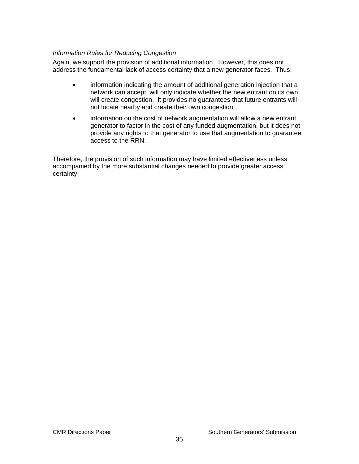#### *Information Rules for Reducing Congestion*

Again, we support the provision of additional information. However, this does not address the fundamental lack of access certainty that a new generator faces. Thus:

- information indicating the amount of additional generation injection that a network can accept, will only indicate whether the new entrant on its own will create congestion. It provides no guarantees that future entrants will not locate nearby and create their own congestion
- information on the cost of network augmentation will allow a new entrant generator to factor in the cost of any funded augmentation, but it does not provide any rights to that generator to use that augmentation to guarantee access to the RRN.

Therefore, the provision of such information may have limited effectiveness unless accompanied by the more substantial changes needed to provide greater access certainty.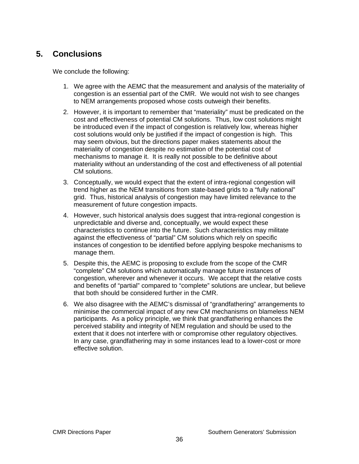# <span id="page-39-0"></span>**5. Conclusions**

We conclude the following:

- 1. We agree with the AEMC that the measurement and analysis of the materiality of congestion is an essential part of the CMR. We would not wish to see changes to NEM arrangements proposed whose costs outweigh their benefits.
- 2. However, it is important to remember that "materiality" must be predicated on the cost and effectiveness of potential CM solutions. Thus, low cost solutions might be introduced even if the impact of congestion is relatively low, whereas higher cost solutions would only be justified if the impact of congestion is high. This may seem obvious, but the directions paper makes statements about the materiality of congestion despite no estimation of the potential cost of mechanisms to manage it. It is really not possible to be definitive about materiality without an understanding of the cost and effectiveness of all potential CM solutions.
- 3. Conceptually, we would expect that the extent of intra-regional congestion will trend higher as the NEM transitions from state-based grids to a "fully national" grid. Thus, historical analysis of congestion may have limited relevance to the measurement of future congestion impacts.
- 4. However, such historical analysis does suggest that intra-regional congestion is unpredictable and diverse and, conceptually, we would expect these characteristics to continue into the future. Such characteristics may militate against the effectiveness of "partial" CM solutions which rely on specific instances of congestion to be identified before applying bespoke mechanisms to manage them.
- 5. Despite this, the AEMC is proposing to exclude from the scope of the CMR "complete" CM solutions which automatically manage future instances of congestion, wherever and whenever it occurs. We accept that the relative costs and benefits of "partial" compared to "complete" solutions are unclear, but believe that both should be considered further in the CMR.
- 6. We also disagree with the AEMC's dismissal of "grandfathering" arrangements to minimise the commercial impact of any new CM mechanisms on blameless NEM participants. As a policy principle, we think that grandfathering enhances the perceived stability and integrity of NEM regulation and should be used to the extent that it does not interfere with or compromise other regulatory objectives. In any case, grandfathering may in some instances lead to a lower-cost or more effective solution.